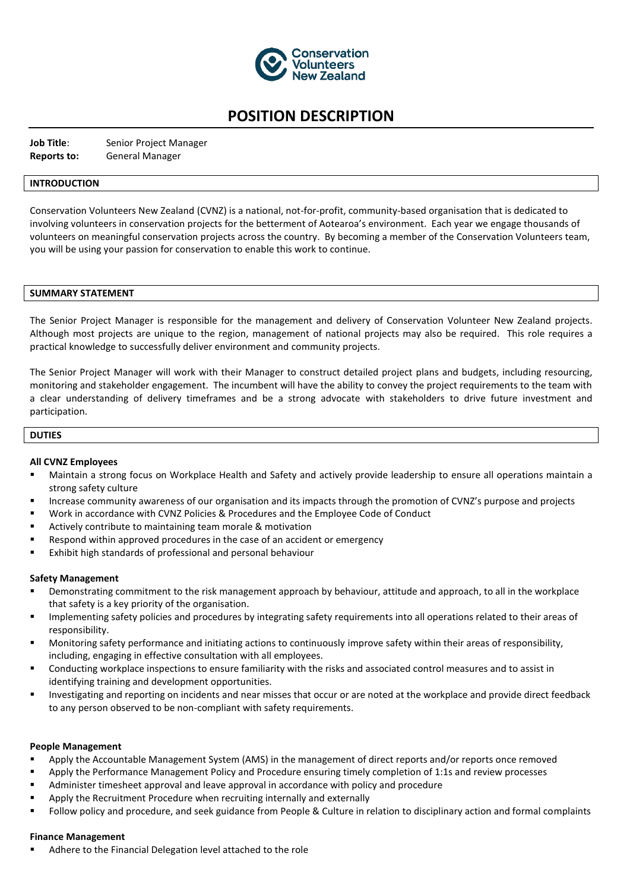

# **POSITION DESCRIPTION**

**Job Title**: Senior Project Manager **Reports to:** General Manager

### **INTRODUCTION**

Conservation Volunteers New Zealand (CVNZ) is a national, not-for-profit, community-based organisation that is dedicated to involving volunteers in conservation projects for the betterment of Aotearoa's environment. Each year we engage thousands of volunteers on meaningful conservation projects across the country. By becoming a member of the Conservation Volunteers team, you will be using your passion for conservation to enable this work to continue.

#### **SUMMARY STATEMENT**

The Senior Project Manager is responsible for the management and delivery of Conservation Volunteer New Zealand projects. Although most projects are unique to the region, management of national projects may also be required. This role requires a practical knowledge to successfully deliver environment and community projects.

The Senior Project Manager will work with their Manager to construct detailed project plans and budgets, including resourcing, monitoring and stakeholder engagement. The incumbent will have the ability to convey the project requirements to the team with a clear understanding of delivery timeframes and be a strong advocate with stakeholders to drive future investment and participation.

#### **DUTIES**

#### **All CVNZ Employees**

- Maintain a strong focus on Workplace Health and Safety and actively provide leadership to ensure all operations maintain a strong safety culture
- Increase community awareness of our organisation and its impacts through the promotion of CVNZ's purpose and projects
- Work in accordance with CVNZ Policies & Procedures and the Employee Code of Conduct
- Actively contribute to maintaining team morale & motivation
- Respond within approved procedures in the case of an accident or emergency
- Exhibit high standards of professional and personal behaviour

#### **Safety Management**

- Demonstrating commitment to the risk management approach by behaviour, attitude and approach, to all in the workplace that safety is a key priority of the organisation.
- Implementing safety policies and procedures by integrating safety requirements into all operations related to their areas of responsibility.
- Monitoring safety performance and initiating actions to continuously improve safety within their areas of responsibility, including, engaging in effective consultation with all employees.
- Conducting workplace inspections to ensure familiarity with the risks and associated control measures and to assist in identifying training and development opportunities.
- Investigating and reporting on incidents and near misses that occur or are noted at the workplace and provide direct feedback to any person observed to be non-compliant with safety requirements.

#### **People Management**

- Apply the Accountable Management System (AMS) in the management of direct reports and/or reports once removed
- Apply the Performance Management Policy and Procedure ensuring timely completion of 1:1s and review processes
- Administer timesheet approval and leave approval in accordance with policy and procedure
- Apply the Recruitment Procedure when recruiting internally and externally
- Follow policy and procedure, and seek guidance from People & Culture in relation to disciplinary action and formal complaints

#### **Finance Management**

Adhere to the Financial Delegation level attached to the role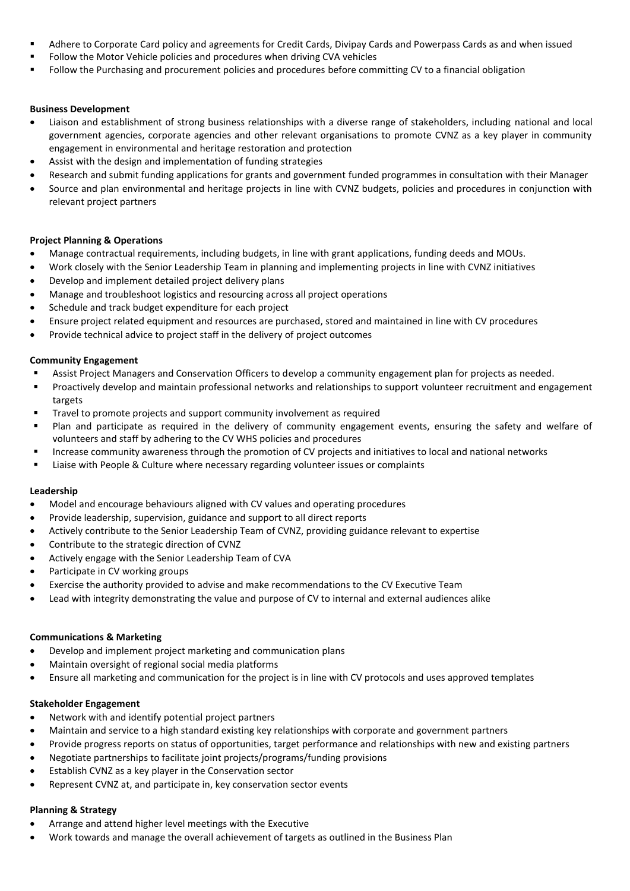- Adhere to Corporate Card policy and agreements for Credit Cards, Divipay Cards and Powerpass Cards as and when issued
- Follow the Motor Vehicle policies and procedures when driving CVA vehicles
- Follow the Purchasing and procurement policies and procedures before committing CV to a financial obligation

### **Business Development**

- Liaison and establishment of strong business relationships with a diverse range of stakeholders, including national and local government agencies, corporate agencies and other relevant organisations to promote CVNZ as a key player in community engagement in environmental and heritage restoration and protection
- Assist with the design and implementation of funding strategies
- Research and submit funding applications for grants and government funded programmes in consultation with their Manager
- Source and plan environmental and heritage projects in line with CVNZ budgets, policies and procedures in conjunction with relevant project partners

### **Project Planning & Operations**

- Manage contractual requirements, including budgets, in line with grant applications, funding deeds and MOUs.
- Work closely with the Senior Leadership Team in planning and implementing projects in line with CVNZ initiatives
- Develop and implement detailed project delivery plans
- Manage and troubleshoot logistics and resourcing across all project operations
- Schedule and track budget expenditure for each project
- Ensure project related equipment and resources are purchased, stored and maintained in line with CV procedures
- Provide technical advice to project staff in the delivery of project outcomes

### **Community Engagement**

- Assist Project Managers and Conservation Officers to develop a community engagement plan for projects as needed.
- Proactively develop and maintain professional networks and relationships to support volunteer recruitment and engagement targets
- Travel to promote projects and support community involvement as required
- Plan and participate as required in the delivery of community engagement events, ensuring the safety and welfare of volunteers and staff by adhering to the CV WHS policies and procedures
- Increase community awareness through the promotion of CV projects and initiatives to local and national networks
- Liaise with People & Culture where necessary regarding volunteer issues or complaints

### **Leadership**

- Model and encourage behaviours aligned with CV values and operating procedures
- Provide leadership, supervision, guidance and support to all direct reports
- Actively contribute to the Senior Leadership Team of CVNZ, providing guidance relevant to expertise
- Contribute to the strategic direction of CVNZ
- Actively engage with the Senior Leadership Team of CVA
- Participate in CV working groups
- Exercise the authority provided to advise and make recommendations to the CV Executive Team
- Lead with integrity demonstrating the value and purpose of CV to internal and external audiences alike

### **Communications & Marketing**

- Develop and implement project marketing and communication plans
- Maintain oversight of regional social media platforms
- Ensure all marketing and communication for the project is in line with CV protocols and uses approved templates

### **Stakeholder Engagement**

- Network with and identify potential project partners
- Maintain and service to a high standard existing key relationships with corporate and government partners
- Provide progress reports on status of opportunities, target performance and relationships with new and existing partners
- Negotiate partnerships to facilitate joint projects/programs/funding provisions
- Establish CVNZ as a key player in the Conservation sector
- Represent CVNZ at, and participate in, key conservation sector events

# **Planning & Strategy**

- Arrange and attend higher level meetings with the Executive
- Work towards and manage the overall achievement of targets as outlined in the Business Plan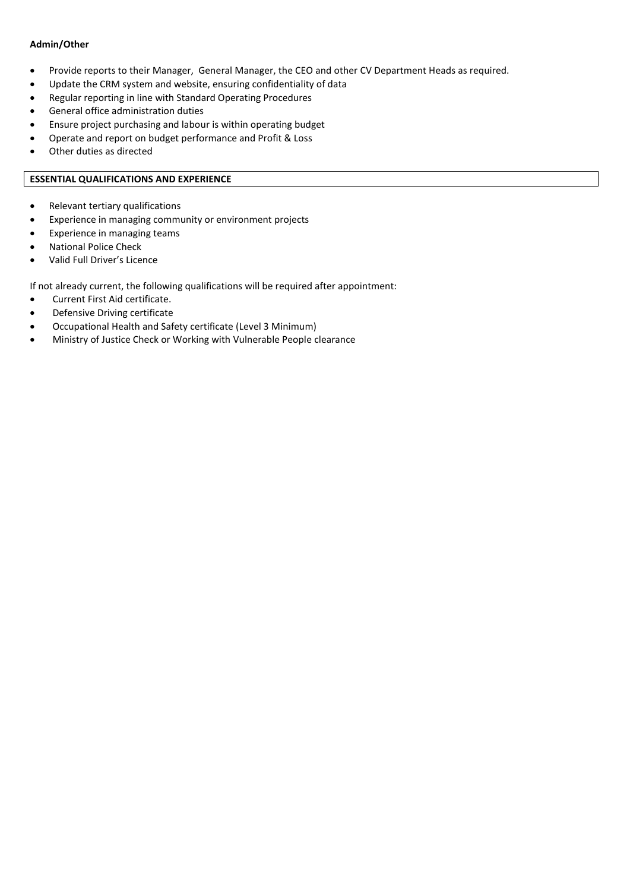### **Admin/Other**

- Provide reports to their Manager, General Manager, the CEO and other CV Department Heads as required.
- Update the CRM system and website, ensuring confidentiality of data
- Regular reporting in line with Standard Operating Procedures
- General office administration duties
- Ensure project purchasing and labour is within operating budget
- Operate and report on budget performance and Profit & Loss
- Other duties as directed

# **ESSENTIAL QUALIFICATIONS AND EXPERIENCE**

- Relevant tertiary qualifications
- Experience in managing community or environment projects
- Experience in managing teams
- National Police Check
- Valid Full Driver's Licence

If not already current, the following qualifications will be required after appointment:

- Current First Aid certificate.
- Defensive Driving certificate
- Occupational Health and Safety certificate (Level 3 Minimum)
- Ministry of Justice Check or Working with Vulnerable People clearance